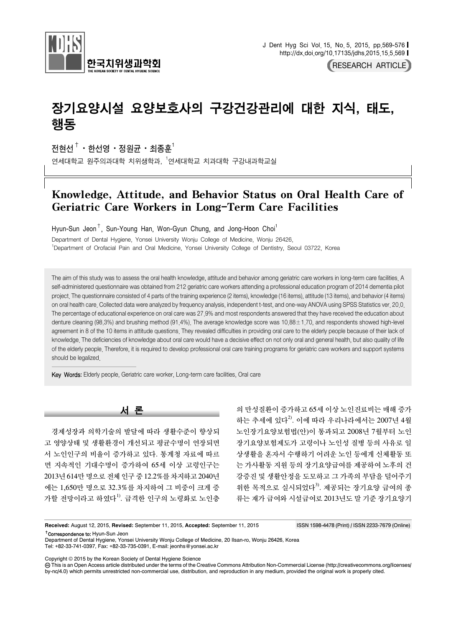

RESEARCH ARTICLE

# 장기요양시설 요양보호사의 구강건강관리에 대한 지식, 태도, 행동

전현선 $^\dagger$ ㆍ 한선영 ㆍ 정원균 ㆍ 최종훈 $^1$ 

연세대학교 원주의과대학 치위생학과, <sup>1</sup>연세대학교 치과대학 구강내과학교실

## Knowledge, Attitude, and Behavior Status on Oral Health Care of Geriatric Care Workers in Long-Term Care Facilities

Hyun-Sun Jeon<sup>†</sup>, Sun-Young Han, Won-Gyun Chung, and Jong-Hoon Choi<sup>1</sup>

Department of Dental Hygiene, Yonsei University Wonju College of Medicine, Wonju 26426, 1 Department of Orofacial Pain and Oral Medicine, Yonsei University College of Dentistry, Seoul 03722, Korea

The aim of this study was to assess the oral health knowledge, attitude and behavior among geriatric care workers in long-term care facilities. A self-administered questionnaire was obtained from 212 geriatric care workers attending a professional education program of 2014 dementia pilot project. The questionnaire consisted of 4 parts of the training experience (2 items), knowledge (16 items), attitude (13 items), and behavior (4 items) on oral health care. Collected data were analyzed by frequency analysis, independent t-test, and one-way ANOVA using SPSS Statistics ver. 20.0. The percentage of educational experience on oral care was 27.9% and most respondents answered that they have received the education about denture cleaning (98.3%) and brushing method (91.4%). The average knowledge score was 10.88±1.70, and respondents showed high-level agreement in 8 of the 10 items in attitude questions. They revealed difficulties in providing oral care to the elderly people because of their lack of knowledge. The deficiencies of knowledge about oral care would have a decisive effect on not only oral and general health, but also quality of life of the elderly people. Therefore, it is required to develop professional oral care training programs for geriatric care workers and support systems should be legalized.

Key Words: Elderly people, Geriatric care worker, Long-term care facilities, Oral care

서 론

경제성장과 의학기술의 발달에 따라 생활수준이 향상되 고 영양상태 및 생활환경이 개선되고 평균수명이 연장되면 서 노인인구의 비율이 증가하고 있다. 통계청 자료에 따르 면 지속적인 기대수명이 증가하여 65세 이상 고령인구는 2013년 614만 명으로 전체 인구 중 12.2%를 차지하고 2040년 에는 1,650만 명으로 32.3%를 차지하여 그 비중이 크게 증 가할 전망이라고 하였다<sup>1)</sup>. 급격한 인구의 노령화로 노인층

의 만성질환이 증가하고 65세 이상 노인진료비는 매해 증가 하는 추세에 있다<sup>2)</sup>. 이에 따라 우리나라에서는 2007년 4월 노인장기요양보험법(안)이 통과되고 2008년 7월부터 노인 장기요양보험제도가 고령이나 노인성 질병 등의 사유로 일 상생활을 혼자서 수행하기 어려운 노인 등에게 신체활동 또 는 가사활동 지원 등의 장기요양급여를 제공하여 노후의 건 강증진 및 생활안정을 도모하고 그 가족의 부담을 덜어주기 위한 목적으로 실시되었다<sup>3)</sup>. 제공되는 장기요양 급여의 종 류는 재가 급여와 시설급여로 2013년도 말 기준 장기요양기

**Received:** August 12, 2015, **Revised:** September 11, 2015, **Accepted:** September 11, 2015 ISSN 1598-4478 (Print) / ISSN 2233-7679 (Online) †Correspondence to: Hyun-Sun Jeon

Department of Dental Hygiene, Yonsei University Wonju College of Medicine, 20 Ilsan-ro, Wonju 26426, Korea Tel: +82-33-741-0397, Fax: +82-33-735-0391, E-mail: jeonhs@yonsei.ac.kr

Copyright © 2015 by the Korean Society of Dental Hygiene Science

 This is an Open Access article distributed under the terms of the Creative Commons Attribution Non-Commercial License (http://creativecommons.org/licenses/ by-nc/4.0) which permits unrestricted non-commercial use, distribution, and reproduction in any medium, provided the original work is properly cited.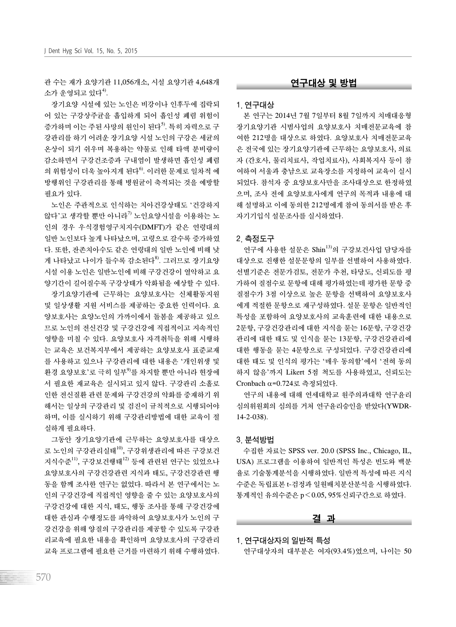관 수는 재가 요양기관 11,056개소, 시설 요양기관 4,648개 소가 운영되고 있다<sup>4)</sup>.

장기요양 시설에 있는 노인은 비강이나 인후두에 집락되 어 있는 구강상주균을 흡입하게 되어 흡인성 폐렴 위험이 증가하며 이는 주된 사망의 원인이 된다<sup>5)</sup>. 특히 자력으로 구 강관리를 하기 어려운 장기요양 시설 노인의 구강은 세균의 온상이 되기 쉬우며 복용하는 약물로 인해 타액 분비량이 감소하면서 구강건조증과 구내염이 발생하면 흡인성 폐렴 의 위험성이 더욱 높아지게 된다<sup>6)</sup>. 이러한 문제로 일차적 예 방행위인 구강관리를 통해 병원균이 축적되는 것을 예방할 필요가 있다.

노인은 주관적으로 인식하는 치아건강상태도 '건강하지 않다'고 생각할 뿐만 아니라<sup>7)</sup> 노인요양시설을 이용하는 노 인의 경우 우식경험영구치지수(DMFT)가 같은 연령대의 일반 노인보다 높게 나타났으며, 고령으로 갈수록 증가하였 다. 또한, 잔존치아수도 같은 연령대의 일반 노인에 비해 낮 게 나타났고 나이가 들수록 감소된다8). 그러므로 장기요양 시설 이용 노인은 일반노인에 비해 구강건강이 열악하고 요 양기간이 길어질수록 구강상태가 악화됨을 예상할 수 있다. 장기요양기관에 근무하는 요양보호사는 신체활동지원 및 일상생활 지원 서비스를 제공하는 중요한 인력이다. 요 양보호사는 요양노인의 가까이에서 돌봄을 제공하고 있으 므로 노인의 전신건강 및 구강건강에 직접적이고 지속적인 영향을 미칠 수 있다. 요양보호사 자격취득을 위해 시행하 는 교육은 보건복지부에서 제공하는 요양보호사 표준교재 를 사용하고 있으나 구강관리에 대한 내용은 '개인위생 및 환경 요양보호'로 극히 일부<sup>9)</sup>를 차지할 뿐만 아니라 현장에 서 필요한 재교육은 실시되고 있지 않다. 구강관리 소홀로 인한 전신질환 관련 문제와 구강건강의 악화를 중재하기 위 해서는 일상의 구강관리 및 검진이 규칙적으로 시행되어야 하며, 이를 실시하기 위해 구강관리방법에 대한 교육이 절 실하게 필요하다.

그동안 장기요양기관에 근무하는 요양보호사를 대상으 로 노인의 구강관리실태<sup>10)</sup>, 구강위생관리에 따른 구강보건 지식수준11), 구강보건행태12) 등에 관련된 연구는 있었으나 요양보호사의 구강건강관련 지식과 태도, 구강건강관련 행 동을 함께 조사한 연구는 없었다. 따라서 본 연구에서는 노 인의 구강건강에 직접적인 영향을 줄 수 있는 요양보호사의 구강건강에 대한 지식, 태도, 행동 조사를 통해 구강건강에 대한 관심과 수행정도를 파악하여 요양보호사가 노인의 구 강건강을 위해 양질의 구강관리를 제공할 수 있도록 구강관 리교육에 필요한 내용을 확인하며 요양보호사의 구강관리 교육 프로그램에 필요한 근거를 마련하기 위해 수행하였다.

#### 연구대상 및 방법

#### 1. 연구대상

본 연구는 2014년 7월 7일부터 8월 7일까지 치매대응형 장기요양기관 시범사업의 요양보호사 치매전문교육에 참 여한 212명을 대상으로 하였다. 요양보호사 치매전문교육 은 전국에 있는 장기요양기관에 근무하는 요양보호사, 의료 자 (간호사, 물리치료사, 작업치료사), 사회복지사 등이 참 여하여 서울과 충남으로 교육장소를 지정하여 교육이 실시 되었다. 참석자 중 요양보호사만을 조사대상으로 한정하였 으며, 조사 전에 요양보호사에게 연구의 목적과 내용에 대 해 설명하고 이에 동의한 212명에게 참여 동의서를 받은 후 자기기입식 설문조사를 실시하였다.

#### 2. 측정도구

연구에 사용한 설문은 Shin $^{13)}$ 의 구강보건사업 담당자를 대상으로 진행한 설문문항의 일부를 선별하여 사용하였다. 선별기준은 전문가검토, 전문가 추천, 타당도, 신뢰도를 평 가하여 질점수로 문항에 대해 평가하였는데 평가한 문항 중 질점수가 3점 이상으로 높은 문항을 선택하여 요양보호사 에게 적절한 문항으로 재구성하였다. 설문 문항은 일반적인 특성을 포함하여 요양보호사의 교육훈련에 대한 내용으로 2문항, 구강건강관리에 대한 지식을 묻는 16문항, 구강건강 관리에 대한 태도 및 인식을 묻는 13문항, 구강건강관리에 대한 행동을 묻는 4문항으로 구성되었다. 구강건강관리에 대한 태도 및 인식의 평가는 '매우 동의함'에서 '전혀 동의 하지 않음'까지 Likert 5점 척도를 사용하였고, 신뢰도는 Cronbach  $\alpha$ =0.724로 측정되었다.

연구의 내용에 대해 연세대학교 원주의과대학 연구윤리 심의위원회의 심의를 거쳐 연구윤리승인을 받았다(YWDR-14-2-038).

#### 3. 분석방법

수집한 자료는 SPSS ver. 20.0 (SPSS Inc., Chicago, IL, USA) 프로그램을 이용하여 일반적인 특성은 빈도와 백분 율로 기술통계분석을 시행하였다. 일반적 특성에 따른 지식 수준은 독립표본 t-검정과 일원배치분산분석을 시행하였다. 통계적인 유의수준은 p<0.05, 95%신뢰구간으로 하였다.

#### 결 과

1. 연구대상자의 일반적 특성

연구대상자의 대부분은 여자(93.4%)였으며, 나이는 50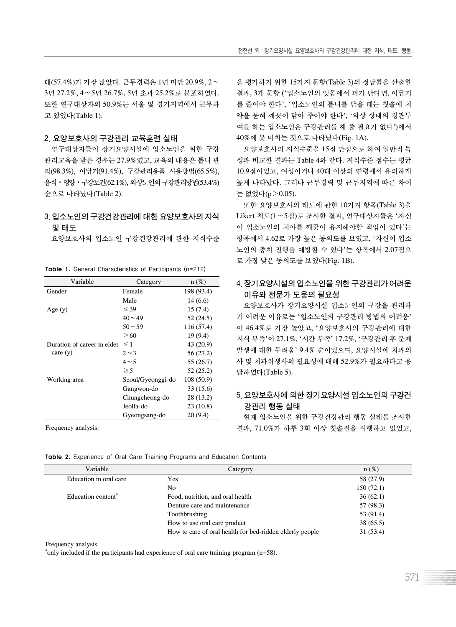대(57.4%)가 가장 많았다. 근무경력은 1년 미만 20.9%, 2∼ 3년 27.2%, 4∼5년 26.7%, 5년 초과 25.2%로 분포하였다. 또한 연구대상자의 50.9%는 서울 및 경기지역에서 근무하 고 있었다(Table 1).

#### 2. 요양보호사의 구강관리 교육훈련 실태

연구대상자들이 장기요양시설에 입소노인을 위한 구강 관리교육을 받은 경우는 27.9%였고, 교육의 내용은 틀니 관 리(98.3%), 이닦기(91.4%), 구강관리용품 사용방법(65.5%), 음식ㆍ영양ㆍ구강보건(62.1%), 와상노인의 구강관리방법(53.4%) 순으로 나타났다(Table 2).

### 3. 입소노인의 구강건강관리에 대한 요양보호사의 지식 및 태도

요양보호사의 입소노인 구강건강관리에 관한 지식수준

| Variable                    | Category          | $n(\%)$    |
|-----------------------------|-------------------|------------|
| Gender                      | Female            | 198 (93.4) |
|                             | Male              | 14(6.6)    |
| Age $(y)$                   | $\leq 39$         | 15(7.4)    |
|                             | $40 \sim 49$      | 52 (24.5)  |
|                             | $50 - 59$         | 116 (57.4) |
|                             | $\geq 60$         | 19 (9.4)   |
| Duration of career in elder | $\leq$ 1          | 43 (20.9)  |
| care $(y)$                  | $2 \sim 3$        | 56 (27.2)  |
|                             | $4 \sim 5$        | 55 (26.7)  |
|                             | $\geq 5$          | 52 (25.2)  |
| Working area                | Seoul/Gyeonggi-do | 108(50.9)  |
|                             | Gangwon-do        | 33(15.6)   |
|                             | Chungcheong-do    | 28 (13.2)  |
|                             | Jeolla-do         | 23(10.8)   |
|                             | Gyeongsang-do     | 20(9.4)    |
|                             |                   |            |

Table 1. **General Characteristics of Participants (n=212)**

Frequency analysis.

을 평가하기 위한 15가지 문항(Table 3)의 정답률을 산출한 결과, 3개 문항 ('입소노인의 잇몸에서 피가 난다면, 이닦기 를 줄여야 한다', '입소노인의 틀니를 닦을 때는 칫솔에 치 약을 묻혀 깨끗이 닦아 주어야 한다', '와상 상태의 경관투 여를 하는 입소노인은 구강관리를 해 줄 필요가 없다')에서 40%에 못 미치는 것으로 나타났다(Fig. 1A).

요양보호사의 지식수준을 15점 만점으로 하여 일반적 특 성과 비교한 결과는 Table 4와 같다. 지식수준 점수는 평균 10.9점이었고, 여성이거나 40대 이상의 연령에서 유의하게 높게 나타났다. 그러나 근무경력 및 근무지역에 따른 차이 는 없었다(p>0.05).

또한 요양보호사의 태도에 관한 10가지 항목(Table 3)을 Likert 척도(1∼5점)로 조사한 결과, 연구대상자들은 '자신 이 입소노인의 치아를 깨끗이 유지해야할 책임이 있다'는 항목에서 4.62로 가장 높은 동의도를 보였고, '자신이 입소 노인의 충치 진행을 예방할 수 있다'는 항목에서 2.07점으 로 가장 낮은 동의도를 보였다(Fig. 1B).

## 4. 장기요양시설의 입소노인을 위한 구강관리가 어려운 이유와 전문가 도움의 필요성

요양보호사가 장기요양시설 입소노인의 구강을 관리하 기 어려운 이유로는 '입소노인의 구강관리 방법의 어려움' 이 46.4%로 가장 높았고, '요양보호사의 구강관리에 대한 지식 부족'이 27.1%, '시간 부족' 17.2%, '구강관리 후 문제 발생에 대한 두려움' 9.4% 순이었으며, 요양시설에 치과의 사 및 치과위생사의 필요성에 대해 52.9%가 필요하다고 응 답하였다(Table 5).

## 5. 요양보호사에 의한 장기요양시설 입소노인의 구강건 강관리 행동 실태

현재 입소노인을 위한 구강건강관리 행동 실태를 조사한 결과, 71.0%가 하루 3회 이상 칫솔질을 시행하고 있었고,

|  |  | <b>Table 2.</b> Experience of Oral Care Training Programs and Education Contents |  |  |  |  |  |  |  |  |
|--|--|----------------------------------------------------------------------------------|--|--|--|--|--|--|--|--|
|--|--|----------------------------------------------------------------------------------|--|--|--|--|--|--|--|--|

| Variable                       | Category                                                 | $n(\%)$   |
|--------------------------------|----------------------------------------------------------|-----------|
| Education in oral care         | Yes                                                      | 58 (27.9) |
|                                | No                                                       | 150(72.1) |
| Education content <sup>a</sup> | Food, nutrition, and oral health                         | 36(62.1)  |
|                                | Denture care and maintenance                             | 57 (98.3) |
|                                | Toothbrushing                                            | 53 (91.4) |
|                                | How to use oral care product                             | 38(65.5)  |
|                                | How to care of oral health for bed-ridden elderly people | 31 (53.4) |

Frequency analysis.

<sup>a</sup>only included if the participants had experience of oral care training program (n=58).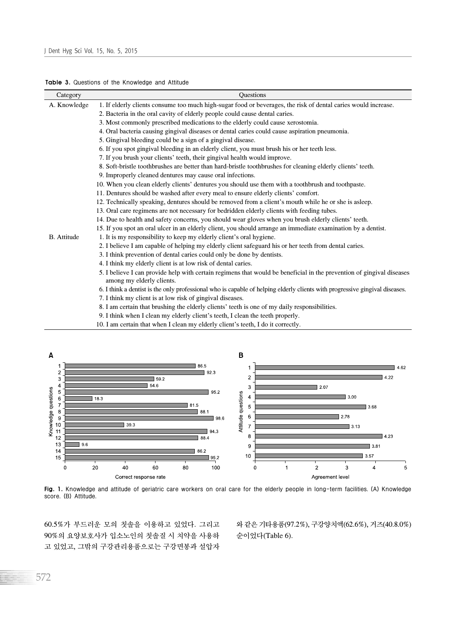|  |  |  |  |  | Table 3. Questions of the Knowledge and Attitude |  |  |
|--|--|--|--|--|--------------------------------------------------|--|--|
|--|--|--|--|--|--------------------------------------------------|--|--|

| Category           | Questions                                                                                                                                          |
|--------------------|----------------------------------------------------------------------------------------------------------------------------------------------------|
| A. Knowledge       | 1. If elderly clients consume too much high-sugar food or beverages, the risk of dental caries would increase.                                     |
|                    | 2. Bacteria in the oral cavity of elderly people could cause dental caries.                                                                        |
|                    | 3. Most commonly prescribed medications to the elderly could cause xerostomia.                                                                     |
|                    | 4. Oral bacteria causing gingival diseases or dental caries could cause aspiration pneumonia.                                                      |
|                    | 5. Gingival bleeding could be a sign of a gingival disease.                                                                                        |
|                    | 6. If you spot gingival bleeding in an elderly client, you must brush his or her teeth less.                                                       |
|                    | 7. If you brush your clients' teeth, their gingival health would improve.                                                                          |
|                    | 8. Soft-bristle toothbrushes are better than hard-bristle toothbrushes for cleaning elderly clients' teeth.                                        |
|                    | 9. Improperly cleaned dentures may cause oral infections.                                                                                          |
|                    | 10. When you clean elderly clients' dentures you should use them with a toothbrush and toothpaste.                                                 |
|                    | 11. Dentures should be washed after every meal to ensure elderly clients' comfort.                                                                 |
|                    | 12. Technically speaking, dentures should be removed from a client's mouth while he or she is asleep.                                              |
|                    | 13. Oral care regimens are not necessary for bedridden elderly clients with feeding tubes.                                                         |
|                    | 14. Due to health and safety concerns, you should wear gloves when you brush elderly clients' teeth.                                               |
|                    | 15. If you spot an oral ulcer in an elderly client, you should arrange an immediate examination by a dentist.                                      |
| <b>B.</b> Attitude | 1. It is my responsibility to keep my elderly client's oral hygiene.                                                                               |
|                    | 2. I believe I am capable of helping my elderly client safeguard his or her teeth from dental caries.                                              |
|                    | 3. I think prevention of dental caries could only be done by dentists.                                                                             |
|                    | 4. I think my elderly client is at low risk of dental caries.                                                                                      |
|                    | 5. I believe I can provide help with certain regimens that would be beneficial in the prevention of gingival diseases<br>among my elderly clients. |
|                    | 6. I think a dentist is the only professional who is capable of helping elderly clients with progressive gingival diseases.                        |
|                    | 7. I think my client is at low risk of gingival diseases.                                                                                          |
|                    | 8. I am certain that brushing the elderly clients' teeth is one of my daily responsibilities.                                                      |
|                    | 9. I think when I clean my elderly client's teeth, I clean the teeth properly.                                                                     |
|                    | 10. I am certain that when I clean my elderly client's teeth, I do it correctly.                                                                   |



Fig. 1. **Knowledge and attitude of geriatric care workers on oral care for the elderly people in long-term facilities. (A) Knowledge score. (B) Attitude.**

60.5%가 부드러운 모의 칫솔을 이용하고 있었다. 그리고 90%의 요양보호사가 입소노인의 칫솔질 시 치약을 사용하 고 있었고, 그밖의 구강관리용품으로는 구강면봉과 설압자 와 같은 기타용품(97.2%), 구강양치액(62.6%), 거즈(40.8.0%) 순이었다(Table 6).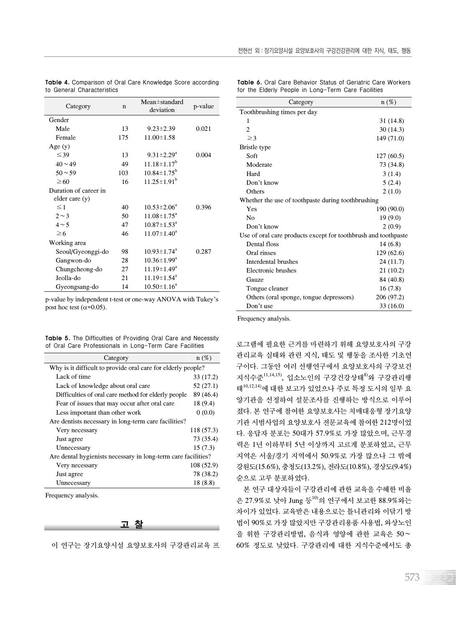| Category              | $\mathbf n$ | $Mean \pm standard$<br>deviation | p-value |
|-----------------------|-------------|----------------------------------|---------|
| Gender                |             |                                  |         |
| Male                  | 13          | $9.23 \pm 2.39$                  | 0.021   |
| Female                | 175         | $11.00 \pm 1.58$                 |         |
| Age $(y)$             |             |                                  |         |
| $\leq 39$             | 13          | $9.31 \pm 2.29^a$                | 0.004   |
| $40 \sim 49$          | 49          | $11.18 \pm 1.17^b$               |         |
| $50 - 59$             | 103         | $10.84 \pm 1.75^b$               |         |
| $\geq 60$             | 16          | $11.25 \pm 1.91^b$               |         |
| Duration of career in |             |                                  |         |
| elder care (y)        |             |                                  |         |
| $\leq$ 1              | 40          | $10.53 \pm 2.06^4$               | 0.396   |
| $2 \sim 3$            | 50          | $11.08 \pm 1.75^{\circ}$         |         |
| $4 \sim 5$            | 47          | $10.87 \pm 1.53^{\circ}$         |         |
| $\geq 6$              | 46          | $11.07 \pm 1.40^a$               |         |
| Working area          |             |                                  |         |
| Seoul/Gyeonggi-do     | 98          | $10.93 \pm 1.74$ <sup>a</sup>    | 0.287   |
| Gangwon-do            | 28          | $10.36 \pm 1.99^a$               |         |
| Chungcheong-do        | 27          | $11.19 \pm 1.49^a$               |         |
| Jeolla-do             | 21          | $11.19 \pm 1.54^a$               |         |
| Gyeongsang-do         | 14          | $10.50 \pm 1.16^a$               |         |

Table 4. **Comparison of Oral Care Knowledge Score according to General Characteristics**

p-value by independent t-test or one-way ANOVA with Tukey's post hoc test ( $\alpha$ =0.05).

Table 5. **The Difficulties of Providing Oral Care and Necessity of Oral Care Professionals in Long-Term Care Facilities**

| Category                                                      | $n(\%)$    |  |  |  |  |  |
|---------------------------------------------------------------|------------|--|--|--|--|--|
| Why is it difficult to provide oral care for elderly people?  |            |  |  |  |  |  |
| Lack of time                                                  | 33 (17.2)  |  |  |  |  |  |
| Lack of knowledge about oral care                             | 52 (27.1)  |  |  |  |  |  |
| Difficulties of oral care method for elderly people           | 89 (46.4)  |  |  |  |  |  |
| Fear of issues that may occur after oral care                 | 18 (9.4)   |  |  |  |  |  |
| Less important than other work                                | 0(0.0)     |  |  |  |  |  |
| Are dentists necessary in long-term care facilities?          |            |  |  |  |  |  |
| Very necessary                                                | 118 (57.3) |  |  |  |  |  |
| Just agree                                                    | 73 (35.4)  |  |  |  |  |  |
| Unnecessary                                                   | 15(7.3)    |  |  |  |  |  |
| Are dental hygienists necessary in long-term care facilities? |            |  |  |  |  |  |
| Very necessary                                                | 108(52.9)  |  |  |  |  |  |
| Just agree                                                    | 78 (38.2)  |  |  |  |  |  |
| Unnecessary                                                   | 18 (8.8)   |  |  |  |  |  |

Frequency analysis.

#### 고 찰

이 연구는 장기요양시설 요양보호사의 구강관리교육 프

|  |                                                     |  |  |  |  | <b>Table 6.</b> Oral Care Behavior Status of Geriatric Care Workers |
|--|-----------------------------------------------------|--|--|--|--|---------------------------------------------------------------------|
|  | for the Elderly People in Long-Term Care Facilities |  |  |  |  |                                                                     |

| Category                                                       | $n(\%)$    |
|----------------------------------------------------------------|------------|
| Toothbrushing times per day                                    |            |
| 1                                                              | 31 (14.8)  |
| $\overline{c}$                                                 | 30(14.3)   |
| $\geq$ 3                                                       | 149 (71.0) |
| Bristle type                                                   |            |
| Soft                                                           | 127(60.5)  |
| Moderate                                                       | 73 (34.8)  |
| Hard                                                           | 3(1.4)     |
| Don't know                                                     | 5(2.4)     |
| Others                                                         | 2(1.0)     |
| Whether the use of toothpaste during toothbrushing             |            |
| Yes                                                            | 190 (90.0) |
| N <sub>0</sub>                                                 | 19(9.0)    |
| Don't know                                                     | 2(0.9)     |
| Use of oral care products except for toothbrush and toothpaste |            |
| Dental floss                                                   | 14(6.8)    |
| Oral rinses                                                    | 129(62.6)  |
| Interdental brushes                                            | 24 (11.7)  |
| Electronic brushes                                             | 21 (10.2)  |
| Gauze                                                          | 84 (40.8)  |
| Tongue cleaner                                                 | 16(7.8)    |
| Others (oral sponge, tongue depressors)                        | 206 (97.2) |
| Don't use                                                      | 33 (16.0)  |

Frequency analysis.

로그램에 필요한 근거를 마련하기 위해 요양보호사의 구강 관리교육 실태와 관련 지식, 태도 및 행동을 조사한 기초연 구이다. 그동안 여러 선행연구에서 요양보호사의 구강보건 지식수준 $^{11,14,15)}$ , 입소노인의 구강건강상태 $^{8}$ 와 구강관리행 태10,12,14)에 대한 보고가 있었으나 주로 특정 도시의 일부 요 양기관을 선정하여 설문조사를 진행하는 방식으로 이루어 졌다. 본 연구에 참여한 요양보호사는 치매대응형 장기요양 기관 시범사업의 요양보호사 전문교육에 참여한 212명이었 다. 응답자 분포는 50대가 57.9%로 가장 많았으며, 근무경 력은 1년 이하부터 5년 이상까지 고르게 분포하였고, 근무 지역은 서울/경기 지역에서 50.9%로 가장 많으나 그 밖에 강원도(15.6%), 충청도(13.2%), 전라도(10.8%), 경상도(9.4%) 순으로 고루 분포하였다.

본 연구 대상자들이 구강관리에 관한 교육을 수혜한 비율 은 27.9%로 낮아 Jung 등10)의 연구에서 보고한 88.9%와는 차이가 있었다. 교육받은 내용으로는 틀니관리와 이닦기 방 법이 90%로 가장 많았지만 구강관리용품 사용법, 와상노인 을 위한 구강관리방법, 음식과 영양에 관한 교육은 50∼ 60% 정도로 낮았다. 구강관리에 대한 지식수준에서도 총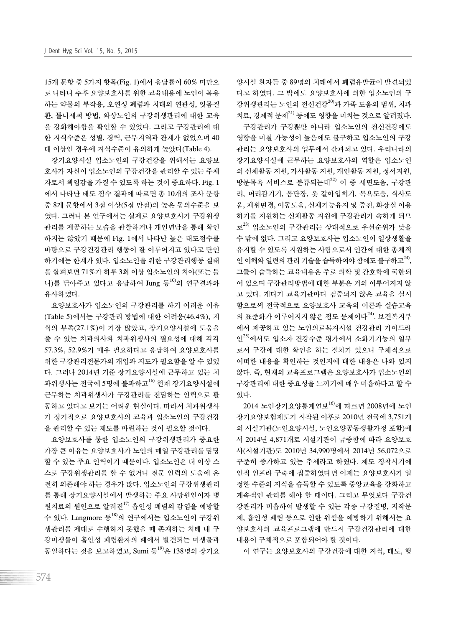15개 문항 중 5가지 항목(Fig. 1)에서 응답률이 60% 미만으 로 나타나 추후 요양보호사를 위한 교육내용에 노인이 복용 하는 약물의 부작용, 오연성 폐렴과 치태의 연관성, 잇몸질 환, 틀니세척 방법, 와상노인의 구강위생관리에 대한 교육 을 강화해야함을 확인할 수 있었다. 그리고 구강관리에 대 한 지식수준은 성별, 경력, 근무지역과 관계가 없었으며 40 대 이상인 경우에 지식수준이 유의하게 높았다(Table 4).

장기요양시설 입소노인의 구강건강을 위해서는 요양보 호사가 자신이 입소노인의 구강건강을 관리할 수 있는 주체 자로서 책임감을 가질 수 있도록 하는 것이 중요하다. Fig. 1 에서 나타난 태도 점수 결과에 따르면 총 10개의 조사 문항 중 8개 문항에서 3점 이상(5점 만점)의 높은 동의수준을 보 였다. 그러나 본 연구에서는 실제로 요양보호사가 구강위생 관리를 제공하는 모습을 관찰하거나 개인면담을 통해 확인 하지는 않았기 때문에 Fig. 1에서 나타난 높은 태도점수를 바탕으로 구강건강관리 행동이 잘 이루어지고 있다고 단언 하기에는 한계가 있다. 입소노인을 위한 구강관리행동 실태 를 살펴보면 71%가 하루 3회 이상 입소노인의 치아(또는 틀 니)를 닦아주고 있다고 응답하여 Jung 등<sup>10)</sup>의 연구결과와 유사하였다.

요양보호사가 입소노인의 구강관리를 하기 어려운 이유 (Table 5)에서는 구강관리 방법에 대한 어려움(46.4%), 지 식의 부족(27.1%)이 가장 많았고, 장기요양시설에 도움을 줄 수 있는 치과의사와 치과위생사의 필요성에 대해 각각 57.3%, 52.9%가 매우 필요하다고 응답하여 요양보호사를 위한 구강관리전문가의 개입과 지도가 필요함을 알 수 있었 다. 그러나 2014년 기준 장기요양시설에 근무하고 있는 치 과위생사는 전국에 5명에 불과하고<sup>16)</sup> 현재 장기요양시설에 근무하는 치과위생사가 구강관리를 전담하는 인력으로 활 동하고 있다고 보기는 어려운 현실이다. 따라서 치과위생사 가 정기적으로 요양보호사의 교육과 입소노인의 구강건강 을 관리할 수 있는 제도를 마련하는 것이 필요할 것이다.

요양보호사를 통한 입소노인의 구강위생관리가 중요한 가장 큰 이유는 요양보호사가 노인의 매일 구강관리를 담당 할 수 있는 주요 인력이기 때문이다. 입소노인은 더 이상 스 스로 구강위생관리를 할 수 없거나 전문 인력의 도움에 온 전히 의존해야 하는 경우가 많다. 입소노인의 구강위생관리 를 통해 장기요양시설에서 발생하는 주요 사망원인이자 병 원치료의 원인으로 알려진 $^{17)}$  흡인성 폐렴의 감염을 예방할 수 있다. Langmore 등<sup>18)</sup>의 연구에서는 입소노인이 구강위 생관리를 제대로 수행하지 못했을 때 존재하는 치태 내 구 강미생물이 흡인성 폐렴환자의 폐에서 발견되는 미생물과 동일하다는 것을 보고하였고, Sumi 등<sup>19)</sup>은 138명의 장기요

양시설 환자들 중 89명의 치태에서 폐렴유발균이 발견되었 다고 하였다. 그 밖에도 요양보호사에 의한 입소노인의 구 강위생관리는 노인의 전신건강20)과 가족 도움의 범위, 치과 치료, 경제적 문제<sup>21)</sup> 등에도 영향을 미치는 것으로 알려졌다. 구강관리가 구강뿐만 아니라 입소노인의 전신건강에도

영향을 미칠 가능성이 높음에도 불구하고 입소노인의 구강 관리는 요양보호사의 업무에서 간과되고 있다. 우리나라의 장기요양시설에 근무하는 요양보호사의 역할은 입소노인 의 신체활동 지원, 가사활동 지원, 개인활동 지원, 정서지원, 방문목욕 서비스로 분류되는데<sup>22)</sup> 이 중 세면도움, 구강관 리, 머리감기기, 몸단장, 옷 갈아입히기, 목욕도움, 식사도 움, 체위변경, 이동도움, 신체기능유지 및 증진, 화장실 이용 하기를 지원하는 신체활동 지원에 구강관리가 속하게 되므 로<sup>23)</sup> 입소노인의 구강관리는 상대적으로 우선순위가 낮을 수 밖에 없다. 그리고 요양보호사는 입소노인이 일상생활을 유지할 수 있도록 지원하는 사람으로서 인간에 대한 총체적 인 이해와 일련의 관리 기술을 습득하여야 함에도 불구하고<sup>24)</sup>, 그들이 습득하는 교육내용은 주로 의학 및 간호학에 국한되 어 있으며 구강관리방법에 대한 부분은 거의 이루어지지 않 고 있다. 게다가 교육기관마다 검증되지 않은 교육을 실시 함으로써 전국적으로 요양보호사 교육의 이론과 실습교육 의 표준화가 이루어지지 않은 점도 문제이다<sup>24)</sup>. 보건복지부 에서 제공하고 있는 노인의료복지시설 건강관리 가이드라 인25)에서도 입소자 건강수준 평가에서 소화기기능의 일부 로서 구강에 대한 확인을 하는 절차가 있으나 구체적으로 어떠한 내용을 확인하는 것인지에 대한 내용은 나와 있지 않다. 즉, 현재의 교육프로그램은 요양보호사가 입소노인의 구강관리에 대한 중요성을 느끼기에 매우 미흡하다고 할 수 있다.

2014 노인장기요양통계연보<sup>16)</sup>에 따르면 2008년에 노인 장기요양보험제도가 시작된 이후로 2010년 전국에 3,751개 의 시설기관(노인요양시설, 노인요양공동생활가정 포함)에 서 2014년 4,871개로 시설기관이 급증함에 따라 요양보호 사(시설기관)도 2010년 34,990명에서 2014년 56,072으로 꾸준히 증가하고 있는 추세라고 하였다. 제도 정착시기에 인적 인프라 구축에 집중하였다면 이제는 요양보호사가 일 정한 수준의 지식을 습득할 수 있도록 중앙교육을 강화하고 계속적인 관리를 해야 할 때이다. 그리고 무엇보다 구강건 강관리가 미흡하여 발생할 수 있는 각종 구강질병, 저작문 제, 흡인성 폐렴 등으로 인한 위험을 예방하기 위해서는 요 양보호사의 교육프로그램에 반드시 구강건강관리에 대한 내용이 구체적으로 포함되어야 할 것이다.

이 연구는 요양보호사의 구강건강에 대한 지식, 태도, 행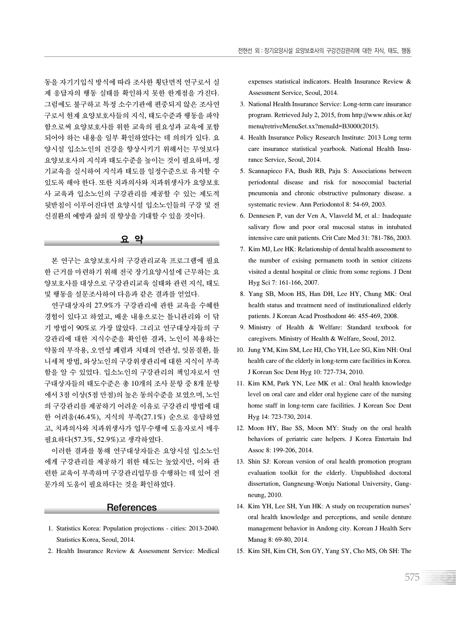동을 자기기입식 방식에 따라 조사한 횡단면적 연구로서 실 제 응답자의 행동 실태를 확인하지 못한 한계점을 가진다. 그럼에도 불구하고 특정 소수기관에 편중되지 않은 조사연 구로서 현재 요양보호사들의 지식, 태도수준과 행동을 파악 함으로써 요양보호사를 위한 교육의 필요성과 교육에 포함 되어야 하는 내용을 일부 확인하였다는 데 의의가 있다. 요 양시설 입소노인의 건강을 향상시키기 위해서는 무엇보다 요양보호사의 지식과 태도수준을 높이는 것이 필요하며, 정 기교육을 실시하여 지식과 태도를 일정수준으로 유지할 수 있도록 해야 한다. 또한 치과의사와 치과위생사가 요양보호 사 교육과 입소노인의 구강관리를 제공할 수 있는 제도적 뒷받침이 이루어진다면 요양시설 입소노인들의 구강 및 전 신질환의 예방과 삶의 질 향상을 기대할 수 있을 것이다.

#### 요 약

본 연구는 요양보호사의 구강관리교육 프로그램에 필요 한 근거를 마련하기 위해 전국 장기요양시설에 근무하는 요 양보호사를 대상으로 구강관리교육 실태와 관련 지식, 태도 및 행동을 설문조사하여 다음과 같은 결과를 얻었다.

연구대상자의 27.9%가 구강관리에 관한 교육을 수혜한 경험이 있다고 하였고, 배운 내용으로는 틀니관리와 이 닦 기 방법이 90%로 가장 많았다. 그리고 연구대상자들의 구 강관리에 대한 지식수준을 확인한 결과, 노인이 복용하는 약물의 부작용, 오연성 폐렴과 치태의 연관성, 잇몸질환, 틀 니세척 방법, 와상노인의 구강위생관리에 대한 지식이 부족 함을 알 수 있었다. 입소노인의 구강관리의 책임자로서 연 구대상자들의 태도수준은 총 10개의 조사 문항 중 8개 문항 에서 3점 이상(5점 만점)의 높은 동의수준을 보였으며, 노인 의 구강관리를 제공하기 어려운 이유로 구강관리 방법에 대 한 어려움(46.4%), 지식의 부족(27.1%) 순으로 응답하였 고, 치과의사와 치과위생사가 업무수행에 도움자로서 매우 필요하다(57.3%, 52.9%)고 생각하였다.

이러한 결과를 통해 연구대상자들은 요양시설 입소노인 에게 구강관리를 제공하기 위한 태도는 높았지만, 이와 관 련한 교육이 부족하며 구강관리업무를 수행하는 데 있어 전 문가의 도움이 필요하다는 것을 확인하였다.

#### **References**

- 1. Statistics Korea: Population projections cities: 2013-2040. Statistics Korea, Seoul, 2014.
- 2. Health Insurance Review & Assessment Service: Medical

expenses statistical indicators. Health Insurance Review & Assessment Service, Seoul, 2014.

- 3. National Health Insurance Service: Long-term care insurance program. Retrieved July 2, 2015, from http://www.nhis.or.kr/ menu/retriveMenuSet.xx?menuId=B3000(2015).
- 4. Health Insurance Policy Research Institute: 2013 Long term care insurance statistical yearbook. National Health Insurance Service, Seoul, 2014.
- 5. Scannapieco FA, Bush RB, Paju S: Associations between periodontal disease and risk for nosocomial bacterial pneumonia and chronic obstructive pulmonary disease. a systematic review. Ann Periodontol 8: 54-69, 2003.
- 6. Dennesen P, van der Ven A, Vlasveld M, et al.: Inadequate salivary flow and poor oral mucosal status in intubated intensive care unit patients. Crit Care Med 31: 781-786, 2003.
- 7. Kim MJ, Lee HK: Relationship of dental health assessment to the number of exising permanetn tooth in senior citizens visited a dental hospital or clinic from some regions. J Dent Hyg Sci 7: 161-166, 2007.
- 8. Yang SB, Moon HS, Han DH, Lee HY, Chung MK: Oral health status and treatment need of institutionalized elderly patients. J Korean Acad Prosthodont 46: 455-469, 2008.
- 9. Ministry of Health & Welfare: Standard textbook for caregivers. Ministry of Health & Welfare, Seoul, 2012.
- 10. Jung YM, Kim SM, Lee HJ, Cho YH, Lee SG, Kim NH: Oral health care of the elderly in long-term care facilities in Korea. J Korean Soc Dent Hyg 10: 727-734, 2010.
- 11. Kim KM, Park YN, Lee MK et al.: Oral health knowledge level on oral care and elder oral hygiene care of the nursing home staff in long-term care facilities. J Korean Soc Dent Hyg 14: 723-730, 2014.
- 12. Moon HY, Bae SS, Moon MY: Study on the oral health behaviors of geriatric care helpers. J Korea Entertain Ind Assoc 8: 199-206, 2014.
- 13. Shin SJ: Korean version of oral health promotion program evaluation toolkit for the elderly. Unpublished doctoral dissertation, Gangneung-Wonju National University, Gangneung, 2010.
- 14. Kim YH, Lee SH, Yun HK: A study on recuperation nurses' oral health knowledge and perceptions, and senile denture management behavior in Andong city. Korean J Health Serv Manag 8: 69-80, 2014.
- 15. Kim SH, Kim CH, Son GY, Yang SY, Cho MS, Oh SH: The